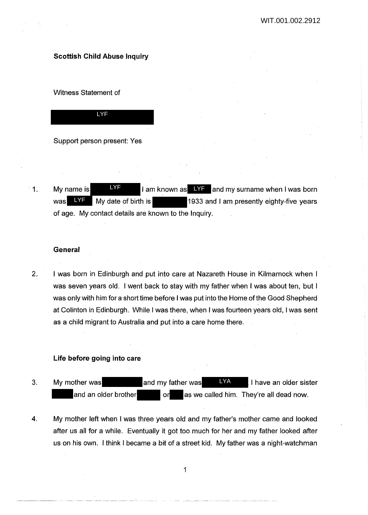# **Scottish Child Abuse Inquiry**

Witness Statement of



Support person present: Yes

1. My name is  $I = \frac{NF}{T}$  I am known as  $I = \frac{NF}{T}$  and my surname when I was born 1933 and I am presently eighty-five years of age. My contact details are known to the Inquiry. LYF was LYF My date of birth is

# **General**

2. I was born in Edinburgh and put into care at Nazareth House in Kilmarnock when I was seven years old. I went back to stay with my father when I was about ten, but I was only with him for a short time before I was put into the Home of the Good Shepherd at Colinton in Edinburgh. While I was there, when I was fourteen years old, I was sent as a child migrant to Australia and put into a care home there.

# **Life before going into care**

- 3. My mother was **EXALLA My mother was** and my father was **I LYALLA I** have an older sister and an older brother **or** as we called him. They're all dead now. LYA
- 4. My mother left when I was three years old and my father's mother came and looked after us all for a while. Eventually it got too much for her and my father looked after us on his own. I think I became a bit of a street kid. My father was a night-watchman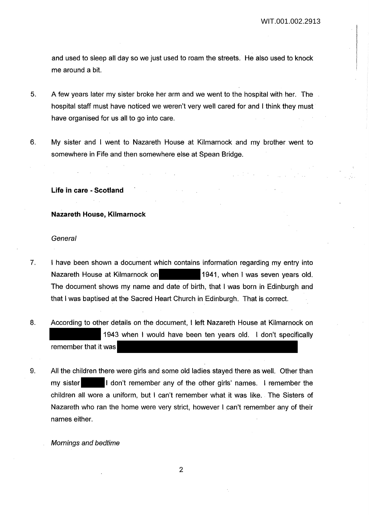and used to sleep all day so we just used to roam the streets. He also used to knock me around a bit.

- 5. A few years later my sister broke her arm and we went to the hospital with her. The hospital staff must have noticed we weren't very well cared for and I think they must have organised for us all to go into care.
- 6. My sister and I went to Nazareth House at Kilmarnock and my brother went to somewhere in Fife and then somewhere else at Spean Bridge.

**Life in care - Scotland** 

# **Nazareth House, Kilmarnock**

## **General**

- 7. I have been shown a document which contains information regarding my entry into Nazareth House at Kilmarnock on 1941, when I was seven years old. The document shows my name and date of birth, that I was born in Edinburgh and that I was baptised at the Sacred Heart Church in Edinburgh. That is correct.
- 8. According to other details on the document, I left Nazareth House at Kilmarnock on 1943 when I would have been ten years old. I don't specifically remember that it was
- 9. All the children there were girls and some old ladies stayed there as well. Other than my sister I don't remember any of the other girls' names. I remember the children all wore a uniform, but I can't remember what it was like. The Sisters of Nazareth who ran the home were very strict, however I can't remember any of their names either.

Mornings and bedtime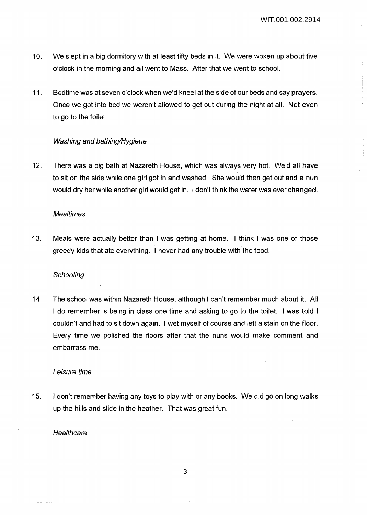- 10. We slept in a big dormitory with at least fifty beds in it. We were woken up about five o'clock in the morning and all went to Mass. After that we went to school.
- 11. Bedtime was at seven o'clock when we'd kneel at the side of our beds and say prayers. Once we got into bed we weren't allowed to get out during the night at all. Not even to go to the toilet.

## Washing and bathing/Hygiene

12. There was a big bath at Nazareth House, which was always very hot. We'd all have to sit on the side while one girl got in and washed. She would then get out and a nun would dry her while another girl would get in. I don't think the water was ever changed.

#### **Mealtimes**

13. Meals were actually better than I was getting at home. I think I was one of those greedy kids that ate everything. I never had any trouble with the food.

#### **Schooling**

14. The school was within Nazareth House, although I can't remember much about it. All I do remember is being in class one time and asking to go to the toilet. I was told I couldn't and had to sit down again. I wet myself of course and left a stain on the floor. Every time we polished the floors after that the nuns would make comment and embarrass me.

### Leisure time

15. I don't remember having any toys to play with or any books. We did go on long walks up the hills and slide in the heather. That was great fun.

# **Healthcare**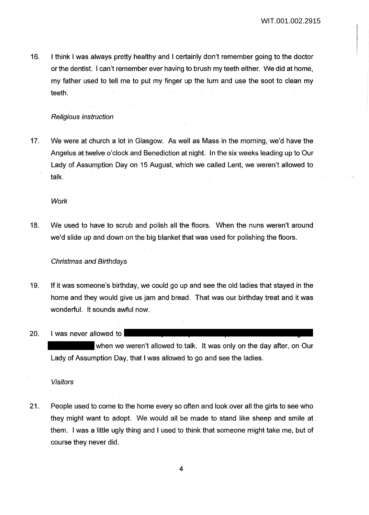16. I think I was always pretty healthy and I certainly don't remember going to the doctor or the dentist. I can't remember ever having to brush my teeth either. We did at home, my father used to tell me to put my finger up the lum and use the soot to clean my teeth.

# Religious instruction

17. We were at church a lot in Glasgow. As well as Mass in the morning, we'd have the Angelus at twelve o'clock and Benediction at night. In the six weeks leading up to Our Lady of Assumption Day on 15 August, which we called Lent, we weren't allowed to talk.

**Work** 

18. We used to have to scrub and polish all the floors. When the nuns weren't around we'd slide up and down on the big blanket that was used for polishing the floors.

#### Christmas and Birthdays

19. If it was someone's birthday, we could go up and see the old ladies that stayed in the home and they would give us jam and bread. That was our birthday treat and it was wonderful. It sounds awful now.

20. I was· never allowed to

when we weren't allowed to talk. It was only on the day after, on Our Lady of Assumption Day, that I was allowed to go and see the ladies.

Visitors

21. People used to come to the home every so often and look over all the girls to see who they might want to adopt. We would all be made to stand like sheep and smile at . them. I was a little ugly thing and I used to think that someone might take me, but of course they never did.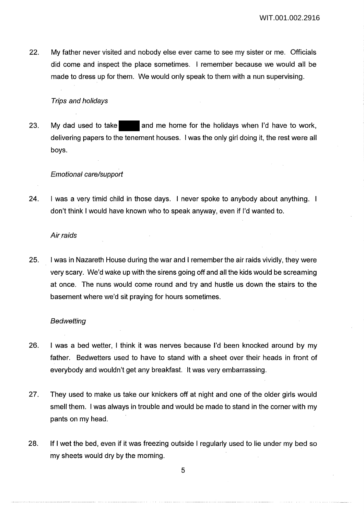22. My father never visited and nobody else ever came to see my sister or me. Officials did come and inspect the place sometimes. I remember because we would all be made to dress up for them. We would only speak to them with a nun supervising.

# Trips and holidays

23. My dad used to take and me home for the holidays when I'd have to work, delivering papers to the tenement houses. I was the only girl doing it, the rest were all boys.

# Emotional care/support

24. I was a very timid child in those days. I never spoke to anybody about anything. I don't think I would have known who to speak anyway, even if I'd wanted to.

# Air raids

25. I was in Nazareth House during the war and I remember the air raids vividly, they were very scary. We'd wake up with the sirens going off and all the kids would be screaming at once. The nuns would come round and try and hustle us down the stairs to the basement where we'd sit praying for hours sometimes.

# **Bedwetting**

- 26. I was a bed wetter, I think it was nerves because I'd been knocked around by my father. Bedwetters used to have to stand with a sheet over their heads in front of everybody and wouldn't get any breakfast. It was very embarrassing.
- 27. They used to make us take our knickers off at night and one of the older girls would smell them. I was always in trouble and would be made to stand in the corner with my pants on my head.
- 28. If I wet the bed, even if it was freezing outside I regularly used to lie under my bed so my sheets would dry by the morning.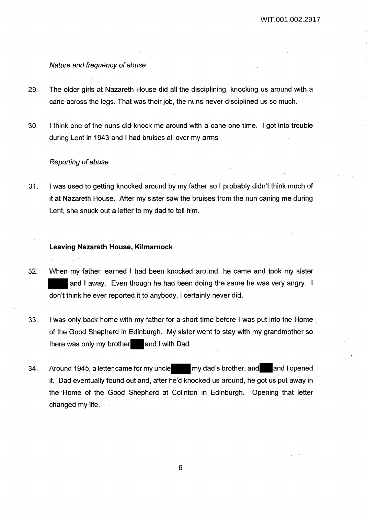### Nature and frequency of abuse

- 29. The older girls at Nazareth House did all the disciplining, knocking us around with a cane across the legs. That was their job, the nuns never disciplined us so much.
- 30. I think one of the nuns did knock me around with a cane one time. I got into trouble during Lent in 1943 and I had bruises all over my arms

#### Reporting of abuse

31. I was used to getting knocked around by my father so I probably didn't think much of it at Nazareth House. After my sister saw the bruises from the nun caning me during Lent, she snuck out a letter to my dad to tell him.

## **Leaving Nazareth House, Kilmarnock**

- 32. When my father learned I had been knocked around, he came and took my sister and I away. Even though he had been doing the same he was very angry. I don't think he ever reported it to anybody, I certainly never did.
- 33. I was only back home with my father for a short time before I was put into the Home of the Good Shepherd in Edinburgh. My sister went to stay with my grandmother so there was only my brother and I with Dad.
- 34. Around 1945, a letter came for my uncle my dad's brother, and and I opened it. Dad eventually found out and, after he'd knocked us around, he got us put away in the Home of the Good Shepherd at Colinton in Edinburgh. Opening that letter changed my life.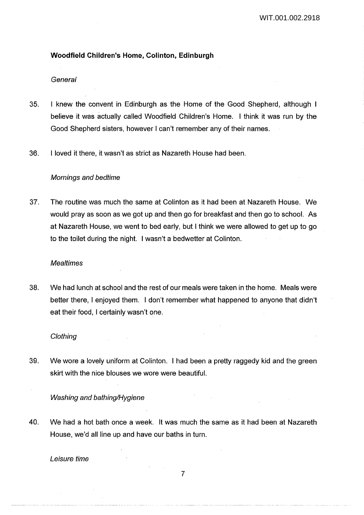# **Woodfield Children's Home, Colinton, Edinburgh**

#### General

- 35. I knew the convent in Edinburgh as the Home of the Good Shepherd, although I believe it was actually called Woodfield Children's Home. I think it was run by the Good Shepherd sisters, however I can't remember any of their names.
- 36. I loved it there, it wasn't as strict as Nazareth House had been.

## Mornings and bedtime

37. The routine was much the same at Colinton as it had been at Nazareth House. We would pray as soon as we got up and then go for breakfast and then go to school. As at Nazareth House, we went to bed early, but I think we were allowed to get up to go to the toilet during the night. I wasn't a bedwetter at Colinton.

#### **Mealtimes**

38. We had lunch at school and the rest of our meals were taken in the home. Meals were better there, I enjoyed them. I don't remember what happened to anyone that didn't eat their food, I certainly wasn't one.

#### **Clothing**

39. We wore a lovely uniform at Colinton. I had been a pretty raggedy kid and the green skirt with the nice blouses we wore were beautiful.

## Washing and bathing/Hygiene

40. We had a hot bath once a week. It was much the same as it had been at Nazareth House, we'd all line up and have our baths in turn.

Leisure time

# 7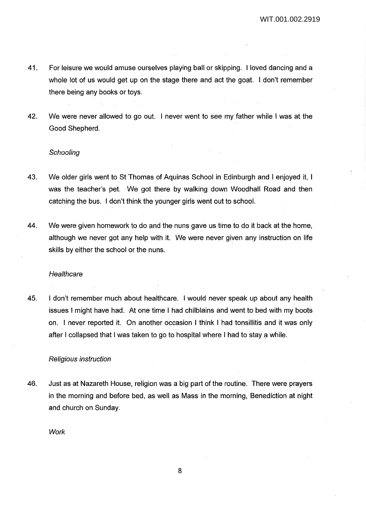- 41. For leisure we would amuse ourselves playing ball or skipping. I loved dancing and a whole lot of us would get up on the stage there and act the goat. I don't remember there being any books or toys.
- 42. We were never allowed to go out. I never went to see my father while I was at the Good Shepherd.

#### **Schooling**

- 43. We older girls went to St Thomas of Aquinas School in Edinburgh and I enjoyed it, I was the teacher's pet. We got there by walking down Woodhall Road and then catching the bus. I don't think the younger girls went out to school.
- 44. We were given homework to do and the nuns gave us time to do it back at the home, although we never got any help with it. We were never given any instruction on life skills by either the school or the nuns.

#### **Healthcare**

45. I don't remember much about healthcare. I would never speak up about any health issues I might have had. At one time I had chilblains and went to bed with my boots on. I never reported it. On another occasion I think I had tonsillitis and it was only after I collapsed that I was taken to go to hospital where I had to stay a while.

# Religious instruction

46. Just as at Nazareth House, religion was a big part of the routine. There were prayers in the morning and before bed, as well as Mass in the morning, Benediction at night and church on Sunday.

**Work**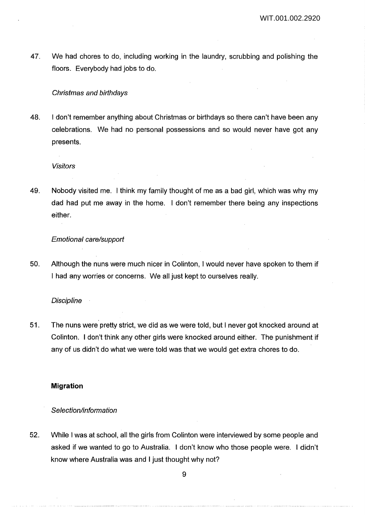47. We had chores to do, including working in the laundry, scrubbing and polishing the floors. Everybody had jobs to do.

# Christmas and birthdays

48. I don't remember anything about Christmas or birthdays so there can't have been any celebrations. We had no personal possessions and so would never have got any presents.

#### Visitors

49. Nobody visited me. I think my family thought of me as a bad girl, which was why my dad had put me away in the home. I don't remember there being any inspections either.

## Emotional care/support

50. Although the nuns were much nicer in Colinton, I would never have spoken to them if I had any worries or concerns. We all just kept to ourselves really.

## **Discipline**

51. The nuns were pretty strict, we did as we were told, but I never got knocked around at Colinton. I don't think any other girls were knocked around either. The punishment if any of us didn't do what we were told was that we would get extra chores to do.

# **Migration**

## Selection/information

52. While I was at school, all the girls from Colinton were interviewed by some people and asked if we wanted to go to Australia. I don't know who those people were. I didn't know where Australia was and I just thought why not?

<u> 1990 - Andreas Andreas Andreas Andreas Andreas Andreas Andreas Andreas Andreas Andreas Andreas Andreas Andreas</u>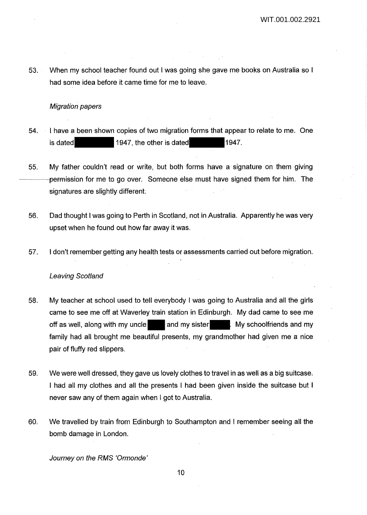53. When my school teacher found out I was going she gave me books on Australia so I had some idea before it came time for me to leave.

# Migration papers

- 54. I have a been shown copies of two migration forms that appear to relate to me. One is dated 1947, the other is dated 1947.
- 55. My father couldn't read or write, but both forms have a signature on them giving -permission for me to go over. Someone else must have signed them for him. The signatures are slightly different.
- 56. Dad thought I was going to Perth in Scotland, not in Australia. Apparently he was very upset when he found out how far away it was.
- 57. I don't remember getting any health tests or assessments carried out before migration.

# Leaving Scotland

- 58. My teacher at school used to tell everybody I was going to Australia and all the girls came to see me off at Waverley train station in Edinburgh. My dad came to see me off as well, along with my uncle and my sister My schoolfriends and my family had all brought me beautiful presents, my grandmother had given me a nice pair of fluffy red slippers.
- 59. We were well dressed, they gave us lovely clothes to travel in as well as a big suitcase. I had all my clothes and all the presents I had been given inside the suitcase but I never saw any of them again when I got to Australia.
- 60. We travelled by train from Edinburgh to Southampton and I remember seeing all the bomb damage in London.

Journey on the RMS 'Ormonde'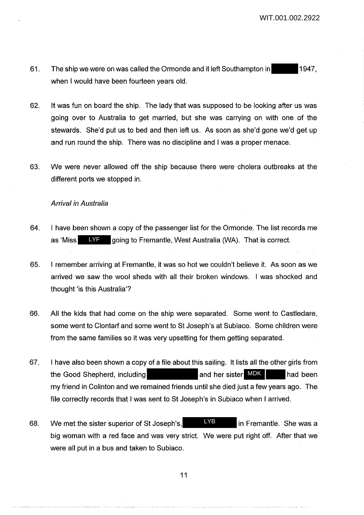- 61. The ship we were on was called the Ormonde and it left Southampton in 1947, when I would have been fourteen years old.
- 62. It was fun on board the ship. The lady that was supposed to be looking after us was going over to Australia to get married, but she was carrying on with one of the stewards. She'd put us to bed and then left us. As soon as she'd gone we'd get up and run round the ship. There was no discipline and I was a proper menace.
- 63. We were never allowed off the ship because there were cholera outbreaks at the different ports we stopped in.

#### Arrival in Australia

- 64. I have been shown a copy of the passenger list for the Ormonde. The list records me as 'Miss LYF going to Fremantle, West Australia (WA). That is correct.
- 65. I remember arriving at Fremantle, it was so hot we couldn't believe it. As soon as we arrived we saw the wool sheds with all their broken windows. I was shocked and thought 'is this Australia'?
- 66. All the kids that had come on the ship were separated. Some went to Castledare, some went to Clontarf and some went to St Joseph's at Subiaco. Some children were from the same families so it was very upsetting for them getting separated.
- 67. I have also been shown a copy of a file about this sailing. It lists all the other girls from the Good Shepherd, including and her sister MDK had been my friend in Colinton and we remained friends until she died just a few years ago. The file correctly records that I was sent to St Joseph's in Subiaco when I arrived. and her sister MDK
- 68. We met the sister superior of St Joseph's,  $N<sub>B</sub>$  in Fremantle. She was a big woman with a red face and was very strict. We were put right off. After that we were all put in a bus and taken to Subiaco. LYB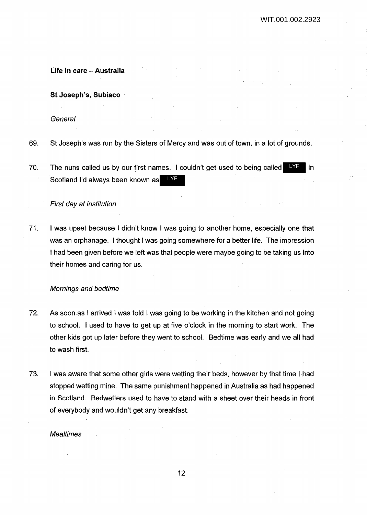**Life in care - Australia** 

**St Joseph's, Subiaco** 

General

- 69. St Joseph's was run by the Sisters of Mercy and was out of town, in a lot of grounds.
- 70. The nuns called us by our first names. I couldn't get used to being called  $I\!\!N$ F in Scotland I'd always been known as **NF**

## First day at institution

71. I was upset because I didn't know I was going to another home, especially one that was an orphanage. I thought I was going somewhere for a better life. The impression I had been given before we left was that people were maybe going to be taking us into their homes and caring for us.

#### Mornings and bedtime

- 72. As soon as I arrived I was told I was going to be working in the kitchen and not going to school. I used to have to get up at five o'clock in the morning to start work. The other kids got up later before they went to school. Bedtime was early and we all had . to wash first.
- 73. I was aware that some other girls were wetting their beds, however by that time I had stopped wetting mine. The same punishment happened in Australia as had happened in Scotland. Bedwetters used to have to stand with a sheet over their heads in front of everybody and wouldn't get any breakfast.

#### **Mealtimes**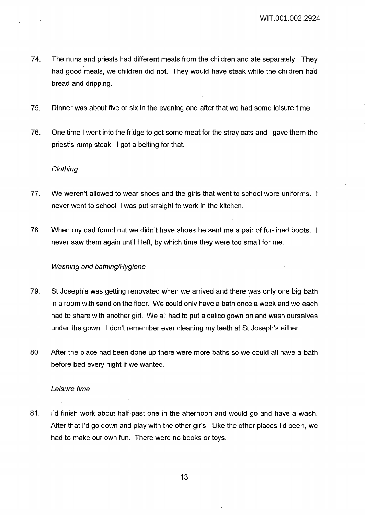- 74. The nuns and priests had different meals from the children and ate separately. They had good meals, we children did not. They would have steak while the children had bread and dripping.
- 75. Dinner was about five or six in the evening and after that we had some leisure time.
- 76. One time I went into the fridge to get some meat for the stray cats and I gave them the priest's rump steak. I got a belting for that.

## **Clothing**

- 77. We weren't allowed to wear shoes and the girls that went to school wore uniforms. I never went to school, I was put straight to work in the kitchen.
- 78. When my dad found out we didn't have shoes he sent me a pair of fur-lined boots. never saw them again until I left, by which time they were too small for me.

# Washing and bathing/Hygiene

- 79. St Joseph's was getting renovated when we arrived and there was only one big bath in a room with sand on the floor. We could only have a bath once a week and we each had to share with another girl. We all had to put a calico gown on and wash ourselves under the gown. I don't remember ever cleaning my teeth at St Joseph's either.
- 80. After the place had been done up there were more baths so we could all have a bath before bed every night if we wanted.

#### Leisure time

81. I'd finish work about half-past one in the afternoon and would go and have a wash. After that I'd go down and play with the other girls. Like the other places I'd been, we had to make our own fun. There were no books or toys.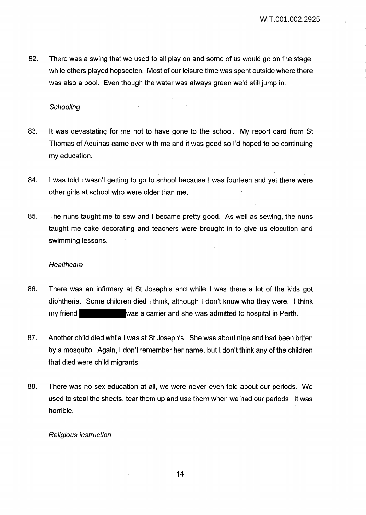82. There was a swing that we used to all play on and some of us would go on the stage, while others played hopscotch. Most of our leisure time was spent outside where there was also a pool. Even though the water was always green we'd still jump in.

**Schooling** 

- 83. It was devastating for me not to have gone to the school. My report card from St Thomas of Aquinas came over with me and it was good so I'd hoped to be continuing my education.
- 84. I was told I wasn't getting to go to school because I was fourteen and yet there were other girls at school who were older than me.
- 85. The nuns taught me to sew and I became pretty good. As well as sewing, the nuns taught me cake decorating and teachers were brought in to give us elocution and swimming lessons.

#### **Healthcare**

- 86. There was an infirmary at St Joseph's and while I was there a lot of the kids got diphtheria. Some children died I think, although I don't know who they were. I think my friend was a carrier and she was admitted to hospital in Perth.
- 87. Another child died while I was at St Joseph's. She was about nine and had been bitten by a mosquito. Again, I don't remember her name, but I don't think any of the children that died were child migrants.
- 88. There was no sex education at all, we were never even told about our periods. We used to steal the sheets, tear them up and use them when we had our periods. It was horrible.

#### Religious instruction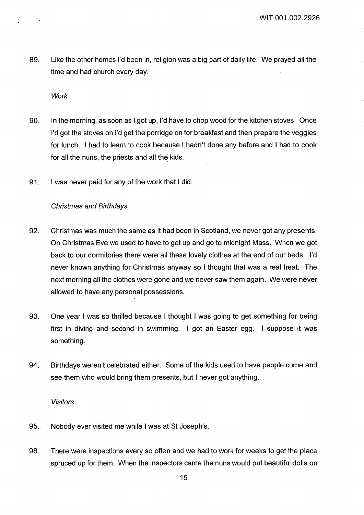89. Like the other homes I'd been in, religion was a big part of daily life. We prayed all the time and had church every day.

**Work** 

- 90. In the morning, as soon as I got up, I'd have to chop wood for the kitchen stoves. Once I'd got the stoves on I'd get the porridge on for breakfast and then prepare the veggies for lunch. I had to learn to cook because I hadn't done any before and I had to cook for all the nuns, the priests and all the kids.
- 91. I was never paid for any of the work that I did.

## Christmas and Birthdays

- 92. Christmas was much the same as it had been in Scotland, we never got any presents. On Christmas Eve we used to have to get up and go to midnight Mass. When we got back to our dormitories there were all these lovely clothes at the end of our beds. I'd never known anything for Christmas anyway so I thought that was a real treat. The next morning all the clothes were gone and we never saw them again. We were never allowed to have any personal possessions.
- 93. One year I was so thrilled because I thought I was going to get something for being first in diving and second in swimming. I got an Easter egg. I suppose it was something.
- 94. Birthdays weren't celebrated either. Some of the kids used to have people come and see them who would bring them presents, but I never got anything.

#### Visitors

- 95. Nobody ever visited me while I was at St Joseph's.
- 96. There were inspections every so often and we had to work for weeks to get the place spruced up for them. When the inspectors came the nuns would put beautiful dolls on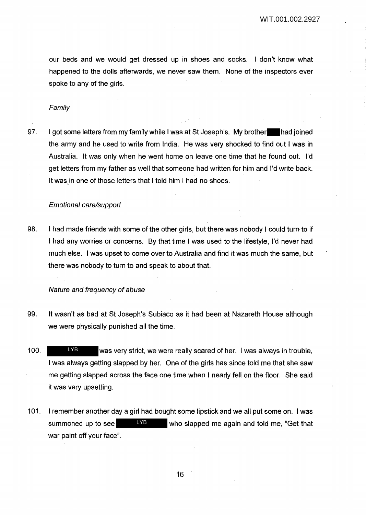our beds and we would get dressed up in shoes and socks. I don't know what happened to the dolls afterwards, we never saw them. None of the inspectors ever spoke to any of the girls.

#### Family

97. I got some letters from my family while I was at St Joseph's. My brother had joined the army and he used to write from India. He was very shocked to find out I was in Australia. It was only when he went home on leave one time that he found out. I'd get letters from my father as well that someone had written for him and I'd write back. It was in one of those letters that I told him I had no shoes.

# Emotional care/support

98. I had made friends with some of the other girls, but there was nobody I could turn to if I had any worries or concerns. By that time I was used to the lifestyle, I'd never had much else. I was upset to come over to Australia and find it was much the same, but there was nobody to turn to and speak to about that.

## Nature and frequency of abuse

- 99. It wasn't as bad at St Joseph's Subiaco as it had been at Nazareth House although we were physically punished all the time.
- 100. We was very strict, we were really scared of her. I was always in trouble, I was always getting slapped by her. One of the girls has since told me that she saw me getting slapped across the face one time when I nearly fell on the floor. She said it was very upsetting. LYB
- 101. I remember another day a girl had bought some lipstick and we all put some on. I was summoned up to see **LYB** who slapped me again and told me, "Get that war paint off your face". LYB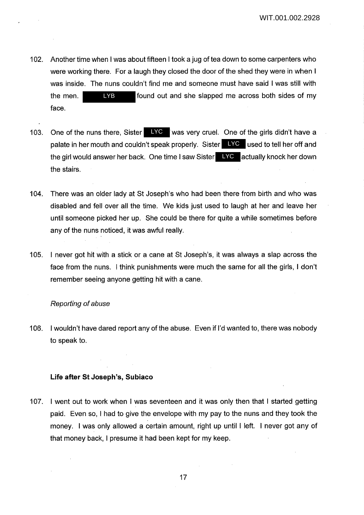- 102. Another time when I was about fifteen I took a jug of tea down to some carpenters who were working there. For a laugh they closed the door of the shed they were in when I was inside. The nuns couldn't find me and someone must have said I was still with the men. **EXP** found out and she slapped me across both sides of my face. LYB
- 103. One of the nuns there, Sister LYC was very cruel. One of the girls didn't have a palate in her mouth and couldn't speak properly. Sister LYC used to tell her off and the girl would answer her back. One time I saw Sister **LYC** actually knock her down the stairs.
- 104. There was an older lady at St Joseph's who had been there from birth and who was disabled and fell over all the time. We kids just used to laugh at her and leave her until someone picked her up. She could be there for quite a while sometimes before any of the nuns noticed, it was awful really.
- 105. I never got hit with a stick or a cane at St Joseph's, it was always a slap across the face from the nuns. I think punishments were much the same for all the girls, I don't remember seeing anyone getting hit with a cane.

#### Reporting of abuse

106. I wouldn't have dared report any of the abuse. Even if I'd wanted to, there was nobody to speak to.

## **Life after St Joseph's, Subiaco**

107. I went out to work when I was seventeen and it was only then that I started getting paid. Even so, I had to give the envelope with my pay to the nuns and they took the money. I was only allowed a certain amount, right up until I left. I never got any of that money back, I presume it had been kept for my keep.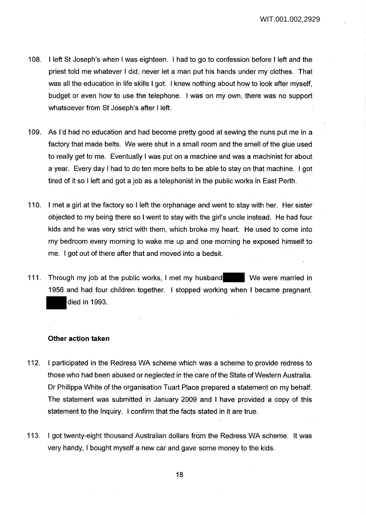- 108. I left St Joseph's when I was eighteen. I had to go to confession before I left and the priest told me whatever I did, never let a man put his hands under my clothes. That was all the education in life skills I got. I knew nothing about how to look after myself, budget or even how to use the telephone. I was on my own, there was no support whatsoever from St Joseph's after I left.
- 109. As I'd had no education and had become pretty good at sewing the nuns put me in a factory that made belts. We were shut in a small room and the smell of the glue used to really get to me. Eventually I was put on a machine and was a machinist for about a year. Every day I had to do ten more belts to be able to stay on that machine. I got tired of it so I left and got a job as a telephonist in the public works in East Perth.
- 110. I met a girl at the factory so I left the orphanage and went to stay with her. Her sister objected to my being there so I went to stay with the girl's uncle instead. He had four kids and he was very strict with them, which broke my heart. He used to come into my bedroom every morning to wake me up and one morning he exposed himself to me. I got out of there after that and moved into a bedsit.
- 111. Through my job at the public works, I met my husband We were married in 1956 and had four children together. I stopped working when I became pregnant. died in 1993.

# **Other action taken**

- 112. I participated in the Redress WA scheme which was a scheme to provide redress to those who had been abused or neglected in the care of the State of Western Australia. Dr Philippa White of the organisation Tuart Place prepared a statement on my behalf. The statement was submitted in January 2009 and I have provided a copy of this statement to the Inquiry. I confirm that the facts stated in it are true.
- 113. I got twenty-eight thousand Australian dollars from the Redress WA scheme. It was very handy, I bought myself a new car and gave some money to the kids.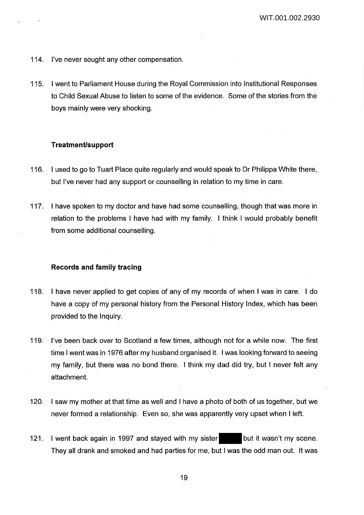- 114. I've never sought any other compensation.
- 115. I went to Parliament House during the Royal Commission into Institutional Responses to Child Sexual Abuse to listen to some of the evidence. Some of the stories from the boys mainly were very shocking.

# **Treatment/support**

- 116. I used to go to Tuart Place quite regularly and would speak to Dr Philippa White there, but I've never had any support or counselling in relation to my time in care.
- 117. I have spoken to my doctor and have had some counselling, though that was more in relation to the problems I have had with my family. I think I would probably benefit from some additional counselling.

## **Records and family tracing**

- 118. I have never applied to get copies of any of my records of when I was in care. I do have a copy of my personal history from the Personal History Index, which has been provided to the Inquiry.
- 119. I've been back over to Scotland a few times, although not for a while now. The first time I went was in 1976 after my husband organised it. I was looking forward to seeing my family, but there was no bond there. I think my dad did try, but I never felt any attachment.
- 120. I saw my mother at that time as well and I have a photo of both of us together, but we never formed a relationship. Even so, she was apparently very upset when I left.
- 121. I went back again in 1997 and stayed with my sister but it wasn't my scene. They all drank and smoked and had parties for me, but I was the odd man out. It was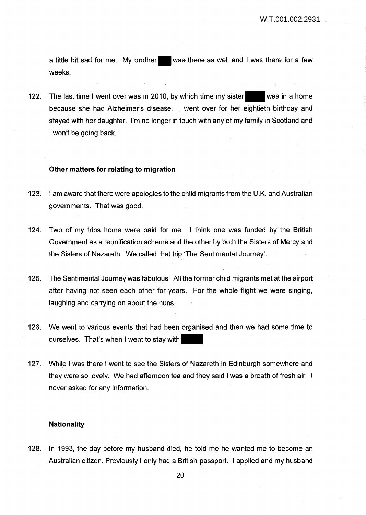a little bit sad for me. My brother was there as well and I was there for a few weeks.

122. The last time I went over was in 2010, by which time my sister was in a home because she had Alzheimer's disease. I went over for her eightieth birthday and stayed with her daughter. I'm no longer in touch with any of my family in Scotland and I won't be going back.

## **Other matters for relating to migration**

- 123. I am aware that there were apologies to the child migrants from the U.K. and Australian governments. That was good.
- 124. Two of my trips home were paid for me. I think one was funded by the British Government as a reunification scheme and the other by both the Sisters of Mercy and the Sisters of Nazareth. We called that trip 'The Sentimental Journey'.
- 125. The Sentimental Journey was fabulous. All the former child migrants met at the airport after having not seen each other for years. For the whole flight we were singing, laughing and carrying on about the nuns.
- 126. We went to various events that had been organised and then we had some time to ourselves. That's when I went to stay with
- 127. While I was there I went to see the Sisters of Nazareth in Edinburgh somewhere and they were so lovely. We had afternoon tea and they said I was a breath of fresh air. I never asked for any information.

## **Nationality**

128. In 1993, the day before my husband died, he told me he wanted me to become an Australian citizen. Previously I only had a British passport. I applied and my husband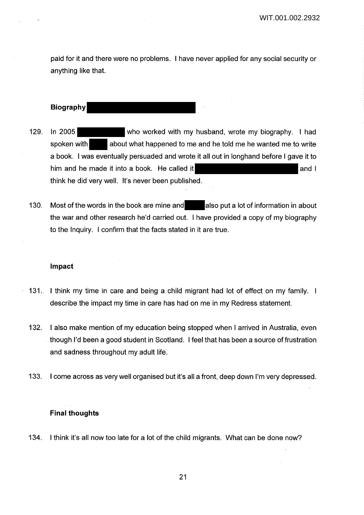paid for it and there were no problems. I have never applied for any social security or anything like that.

**Biography**

- 129. In 2005 who worked with my husband, wrote my biography. I had spoken with about what happened to me and he told me he wanted me to write a book. I was eventually persuaded and wrote it all out in longhand before I gave it to him and he made it into a book. He called it  $\blacksquare$ think he did very well. It's never been published.
- 130. Most of the words in the book are mine and also put a lot of information in about the war and other research he'd carried out. I have provided a copy of my biography to the Inquiry. I confirm that the facts stated in it are true.

# **Impact**

- 131. I think my time in care and being a child migrant had lot of effect on my family. I describe the impact my time in care has had on me in my Redress statement.
- 132. I also make mention of my education being stopped when I arrived in Australia, even though I'd been a good student in Scotland. I feel that has been a source of frustration and sadness throughout my adult life.
- 133. I come across as very well organised but it's all a front, deep down I'm very depressed.

# **Final thoughts**

134. I think it's all now too late for a lot of the child migrants. What can be done now?